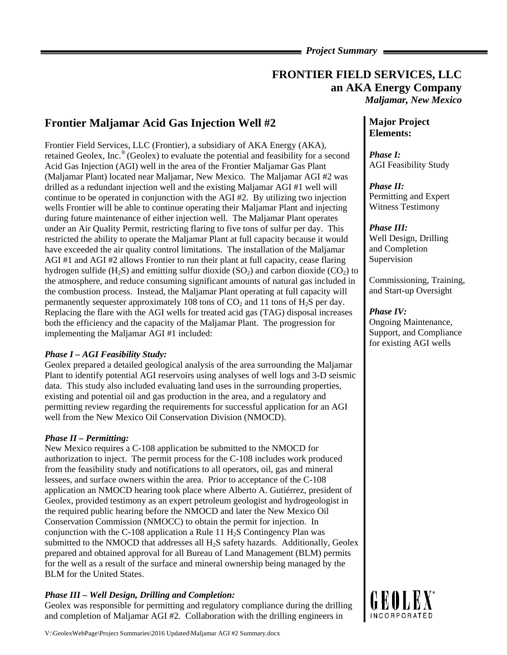*Project Summary* 

## **FRONTIER FIELD SERVICES, LLC an AKA Energy Company**  *Maljamar, New Mexico*

# **Frontier Maljamar Acid Gas Injection Well #2**

Frontier Field Services, LLC (Frontier), a subsidiary of AKA Energy (AKA), retained Geolex, Inc.® (Geolex) to evaluate the potential and feasibility for a second Acid Gas Injection (AGI) well in the area of the Frontier Maljamar Gas Plant (Maljamar Plant) located near Maljamar, New Mexico. The Maljamar AGI #2 was drilled as a redundant injection well and the existing Maljamar AGI #1 well will continue to be operated in conjunction with the AGI #2. By utilizing two injection wells Frontier will be able to continue operating their Maljamar Plant and injecting during future maintenance of either injection well. The Maljamar Plant operates under an Air Quality Permit, restricting flaring to five tons of sulfur per day. This restricted the ability to operate the Maljamar Plant at full capacity because it would have exceeded the air quality control limitations. The installation of the Maljamar AGI #1 and AGI #2 allows Frontier to run their plant at full capacity, cease flaring hydrogen sulfide (H<sub>2</sub>S) and emitting sulfur dioxide (SO<sub>2</sub>) and carbon dioxide (CO<sub>2</sub>) to the atmosphere, and reduce consuming significant amounts of natural gas included in the combustion process. Instead, the Maljamar Plant operating at full capacity will permanently sequester approximately 108 tons of  $CO<sub>2</sub>$  and 11 tons of  $H<sub>2</sub>S$  per day. Replacing the flare with the AGI wells for treated acid gas (TAG) disposal increases both the efficiency and the capacity of the Maljamar Plant. The progression for implementing the Maljamar AGI #1 included:

#### *Phase I – AGI Feasibility Study:*

Geolex prepared a detailed geological analysis of the area surrounding the Maljamar Plant to identify potential AGI reservoirs using analyses of well logs and 3-D seismic data. This study also included evaluating land uses in the surrounding properties, existing and potential oil and gas production in the area, and a regulatory and permitting review regarding the requirements for successful application for an AGI well from the New Mexico Oil Conservation Division (NMOCD).

#### *Phase II – Permitting:*

New Mexico requires a C-108 application be submitted to the NMOCD for authorization to inject. The permit process for the C-108 includes work produced from the feasibility study and notifications to all operators, oil, gas and mineral lessees, and surface owners within the area. Prior to acceptance of the C-108 application an NMOCD hearing took place where Alberto A. Gutiérrez, president of Geolex, provided testimony as an expert petroleum geologist and hydrogeologist in the required public hearing before the NMOCD and later the New Mexico Oil Conservation Commission (NMOCC) to obtain the permit for injection. In conjunction with the C-108 application a Rule 11  $H<sub>2</sub>S$  Contingency Plan was submitted to the NMOCD that addresses all H2S safety hazards. Additionally, Geolex prepared and obtained approval for all Bureau of Land Management (BLM) permits for the well as a result of the surface and mineral ownership being managed by the BLM for the United States.

## *Phase III – Well Design, Drilling and Completion:*

Geolex was responsible for permitting and regulatory compliance during the drilling and completion of Maljamar AGI #2. Collaboration with the drilling engineers in

#### **Major Project Elements:**

*Phase I:*  AGI Feasibility Study

*Phase II:*  Permitting and Expert Witness Testimony

## *Phase III:*

Well Design, Drilling and Completion Supervision

Commissioning, Training, and Start-up Oversight

## *Phase IV:*

Ongoing Maintenance, Support, and Compliance for existing AGI wells